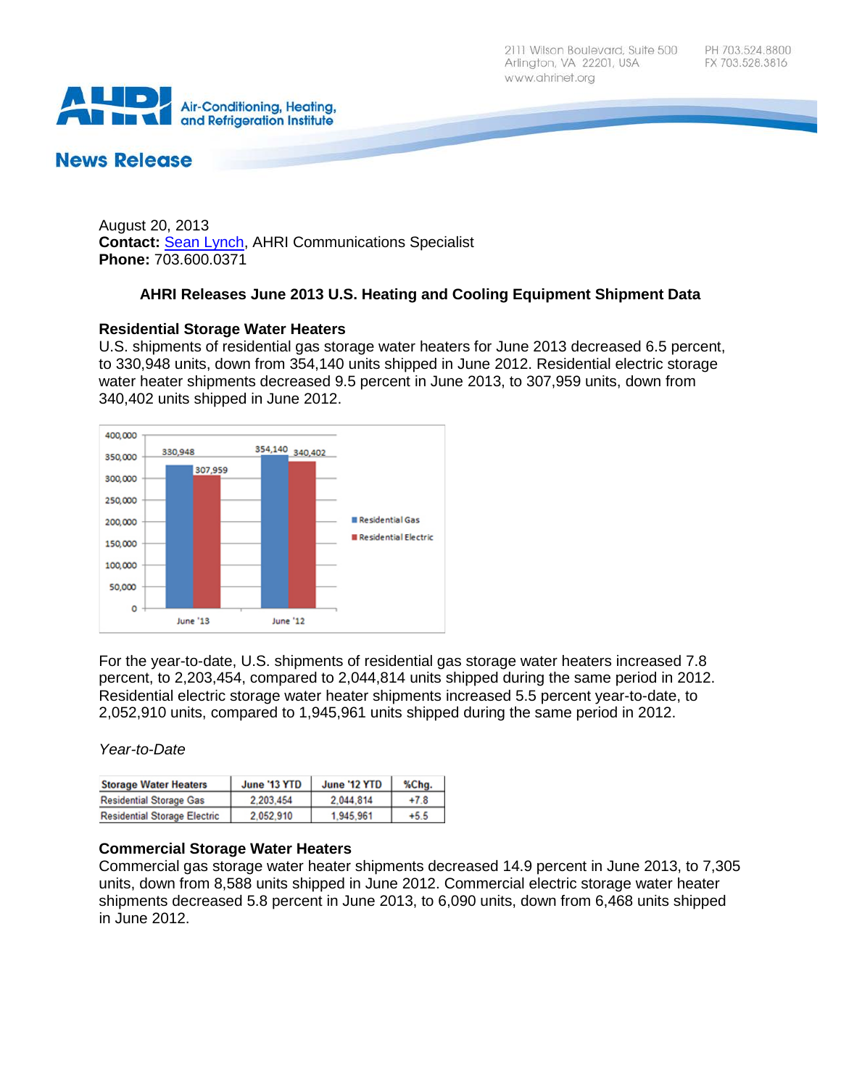

# **News Release**

August 20, 2013 **Contact:** [Sean Lynch,](mailto:slynch@ahrinet.org) AHRI Communications Specialist **Phone:** 703.600.0371

## **AHRI Releases June 2013 U.S. Heating and Cooling Equipment Shipment Data**

## **Residential Storage Water Heaters**

U.S. shipments of residential gas storage water heaters for June 2013 decreased 6.5 percent, to 330,948 units, down from 354,140 units shipped in June 2012. Residential electric storage water heater shipments decreased 9.5 percent in June 2013, to 307,959 units, down from 340,402 units shipped in June 2012.



For the year-to-date, U.S. shipments of residential gas storage water heaters increased 7.8 percent, to 2,203,454, compared to 2,044,814 units shipped during the same period in 2012. Residential electric storage water heater shipments increased 5.5 percent year-to-date, to 2,052,910 units, compared to 1,945,961 units shipped during the same period in 2012.

## *Year-to-Date*

| <b>Storage Water Heaters</b>        | June '13 YTD | June '12 YTD | %Chg.  |
|-------------------------------------|--------------|--------------|--------|
| <b>Residential Storage Gas</b>      | 2.203.454    | 2.044.814    | $+7.8$ |
| <b>Residential Storage Electric</b> | 2.052.910    | 1.945.961    | $+5.5$ |

## **Commercial Storage Water Heaters**

Commercial gas storage water heater shipments decreased 14.9 percent in June 2013, to 7,305 units, down from 8,588 units shipped in June 2012. Commercial electric storage water heater shipments decreased 5.8 percent in June 2013, to 6,090 units, down from 6,468 units shipped in June 2012.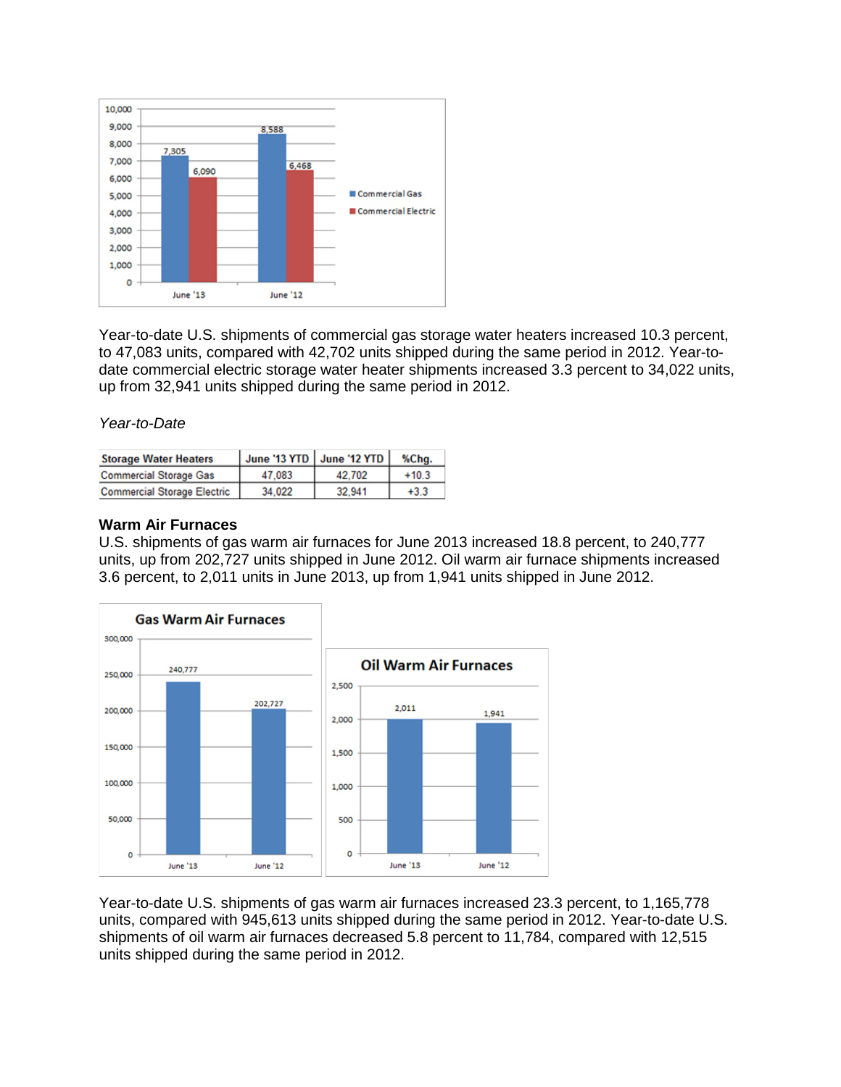

Year-to-date U.S. shipments of commercial gas storage water heaters increased 10.3 percent, to 47,083 units, compared with 42,702 units shipped during the same period in 2012. Year-todate commercial electric storage water heater shipments increased 3.3 percent to 34,022 units, up from 32,941 units shipped during the same period in 2012.

*Year-to-Date*

| <b>Storage Water Heaters</b>       |        | June '13 YTD June '12 YTD | %Chq.   |
|------------------------------------|--------|---------------------------|---------|
| <b>Commercial Storage Gas</b>      | 47.083 | 42.702                    | $+10.3$ |
| <b>Commercial Storage Electric</b> | 34.022 | 32.941                    | $+3.3$  |

#### **Warm Air Furnaces**

U.S. shipments of gas warm air furnaces for June 2013 increased 18.8 percent, to 240,777 units, up from 202,727 units shipped in June 2012. Oil warm air furnace shipments increased 3.6 percent, to 2,011 units in June 2013, up from 1,941 units shipped in June 2012.



Year-to-date U.S. shipments of gas warm air furnaces increased 23.3 percent, to 1,165,778 units, compared with 945,613 units shipped during the same period in 2012. Year-to-date U.S. shipments of oil warm air furnaces decreased 5.8 percent to 11,784, compared with 12,515 units shipped during the same period in 2012.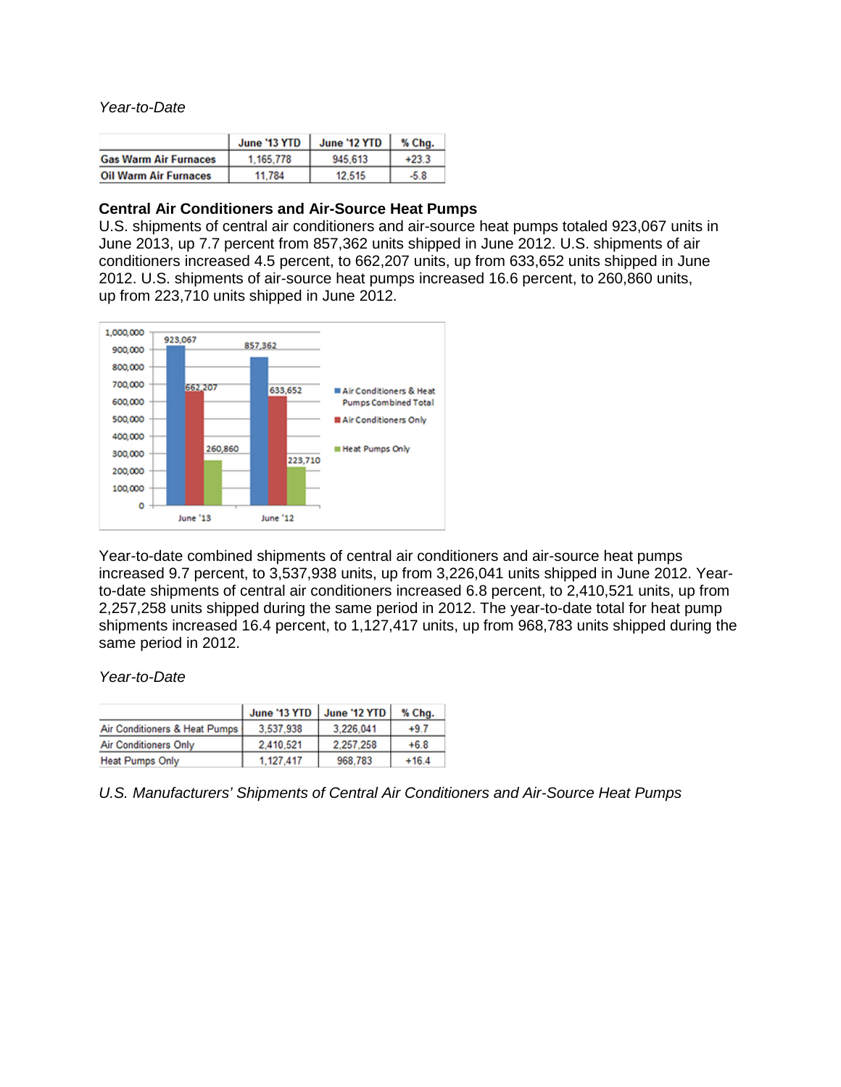*Year-to-Date*

|                              | June '13 YTD | June '12 YTD | % Chg.  |
|------------------------------|--------------|--------------|---------|
| <b>Gas Warm Air Furnaces</b> | 1.165.778    | 945,613      | $+23.3$ |
| <b>Oil Warm Air Furnaces</b> | 11.784       | 12.515       | -5.8    |

#### **Central Air Conditioners and Air-Source Heat Pumps**

U.S. shipments of central air conditioners and air-source heat pumps totaled 923,067 units in June 2013, up 7.7 percent from 857,362 units shipped in June 2012. U.S. shipments of air conditioners increased 4.5 percent, to 662,207 units, up from 633,652 units shipped in June 2012. U.S. shipments of air-source heat pumps increased 16.6 percent, to 260,860 units, up from 223,710 units shipped in June 2012.



Year-to-date combined shipments of central air conditioners and air-source heat pumps increased 9.7 percent, to 3,537,938 units, up from 3,226,041 units shipped in June 2012. Yearto-date shipments of central air conditioners increased 6.8 percent, to 2,410,521 units, up from 2,257,258 units shipped during the same period in 2012. The year-to-date total for heat pump shipments increased 16.4 percent, to 1,127,417 units, up from 968,783 units shipped during the same period in 2012.

*Year-to-Date*

|                               | June '13 YTD June '12 YTD |           | % Chg.  |
|-------------------------------|---------------------------|-----------|---------|
| Air Conditioners & Heat Pumps | 3.537.938                 | 3.226.041 | $+9.7$  |
| <b>Air Conditioners Only</b>  | 2.410.521                 | 2.257.258 | $+6.8$  |
| <b>Heat Pumps Only</b>        | 1.127.417                 | 968,783   | $+16.4$ |

*U.S. Manufacturers' Shipments of Central Air Conditioners and Air-Source Heat Pumps*